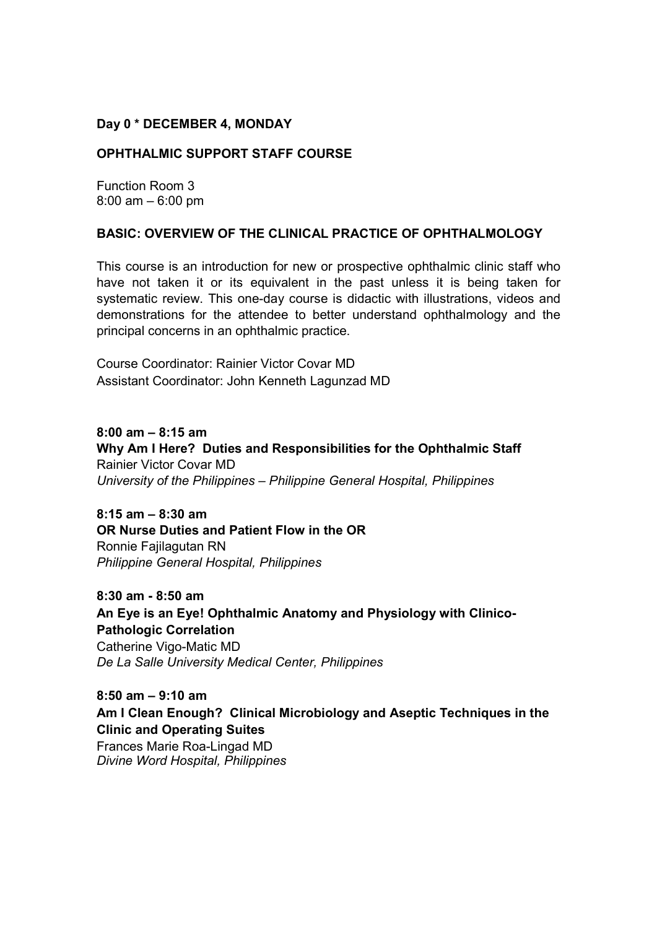#### **Day 0 \* DECEMBER 4, MONDAY**

#### **OPHTHALMIC SUPPORT STAFF COURSE**

Function Room 3 8:00 am – 6:00 pm

#### **BASIC: OVERVIEW OF THE CLINICAL PRACTICE OF OPHTHALMOLOGY**

This course is an introduction for new or prospective ophthalmic clinic staff who have not taken it or its equivalent in the past unless it is being taken for systematic review. This one-day course is didactic with illustrations, videos and demonstrations for the attendee to better understand ophthalmology and the principal concerns in an ophthalmic practice.

Course Coordinator: Rainier Victor Covar MD Assistant Coordinator: John Kenneth Lagunzad MD

**8:00 am – 8:15 am Why Am I Here? Duties and Responsibilities for the Ophthalmic Staff** Rainier Victor Covar MD *University of the Philippines – Philippine General Hospital, Philippines*

**8:15 am – 8:30 am OR Nurse Duties and Patient Flow in the OR**  Ronnie Fajilagutan RN *Philippine General Hospital, Philippines*

**8:30 am - 8:50 am An Eye is an Eye! Ophthalmic Anatomy and Physiology with Clinico-Pathologic Correlation**  Catherine Vigo-Matic MD *De La Salle University Medical Center, Philippines* 

**8:50 am – 9:10 am Am I Clean Enough? Clinical Microbiology and Aseptic Techniques in the Clinic and Operating Suites**  Frances Marie Roa-Lingad MD *Divine Word Hospital, Philippines*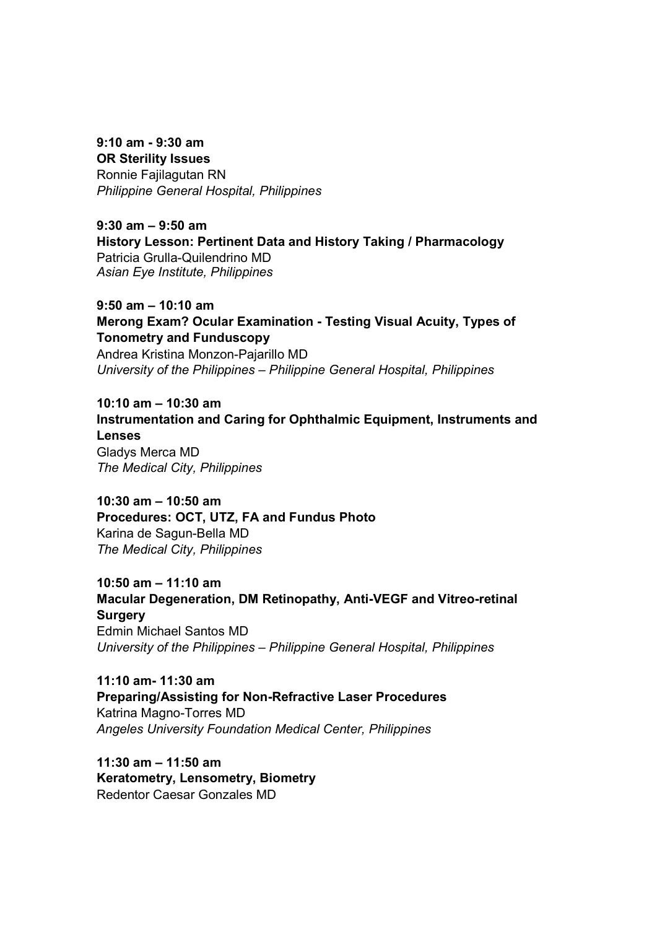#### **9:10 am - 9:30 am OR Sterility Issues**

Ronnie Fajilagutan RN *Philippine General Hospital, Philippines*

**9:30 am – 9:50 am History Lesson: Pertinent Data and History Taking / Pharmacology**  Patricia Grulla-Quilendrino MD *Asian Eye Institute, Philippines*

**9:50 am – 10:10 am Merong Exam? Ocular Examination - Testing Visual Acuity, Types of Tonometry and Funduscopy**  Andrea Kristina Monzon-Pajarillo MD *University of the Philippines – Philippine General Hospital, Philippines* 

**10:10 am – 10:30 am Instrumentation and Caring for Ophthalmic Equipment, Instruments and Lenses** Gladys Merca MD

*The Medical City, Philippines* 

**10:30 am – 10:50 am Procedures: OCT, UTZ, FA and Fundus Photo**  Karina de Sagun-Bella MD *The Medical City, Philippines* 

**10:50 am – 11:10 am Macular Degeneration, DM Retinopathy, Anti-VEGF and Vitreo-retinal Surgery**  Edmin Michael Santos MD *University of the Philippines – Philippine General Hospital, Philippines*

**11:10 am- 11:30 am Preparing/Assisting for Non-Refractive Laser Procedures**  Katrina Magno-Torres MD *Angeles University Foundation Medical Center, Philippines* 

**11:30 am – 11:50 am Keratometry, Lensometry, Biometry**  Redentor Caesar Gonzales MD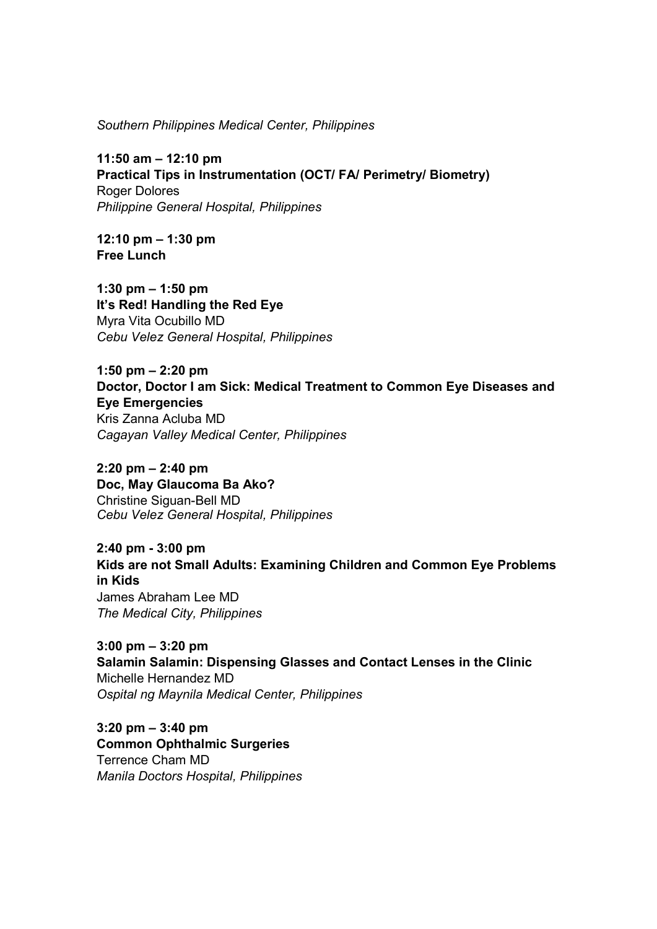*Southern Philippines Medical Center, Philippines* 

**11:50 am – 12:10 pm Practical Tips in Instrumentation (OCT/ FA/ Perimetry/ Biometry)**  Roger Dolores *Philippine General Hospital, Philippines*

**12:10 pm – 1:30 pm Free Lunch** 

**1:30 pm – 1:50 pm It's Red! Handling the Red Eye**  Myra Vita Ocubillo MD *Cebu Velez General Hospital, Philippines* 

**1:50 pm – 2:20 pm Doctor, Doctor I am Sick: Medical Treatment to Common Eye Diseases and Eye Emergencies**  Kris Zanna Acluba MD *Cagayan Valley Medical Center, Philippines* 

**2:20 pm – 2:40 pm Doc, May Glaucoma Ba Ako?**  Christine Siguan-Bell MD *Cebu Velez General Hospital, Philippines* 

**2:40 pm - 3:00 pm Kids are not Small Adults: Examining Children and Common Eye Problems in Kids** James Abraham Lee MD *The Medical City, Philippines* 

**3:00 pm – 3:20 pm Salamin Salamin: Dispensing Glasses and Contact Lenses in the Clinic**  Michelle Hernandez MD *Ospital ng Maynila Medical Center, Philippines*

**3:20 pm – 3:40 pm Common Ophthalmic Surgeries**  Terrence Cham MD *Manila Doctors Hospital, Philippines*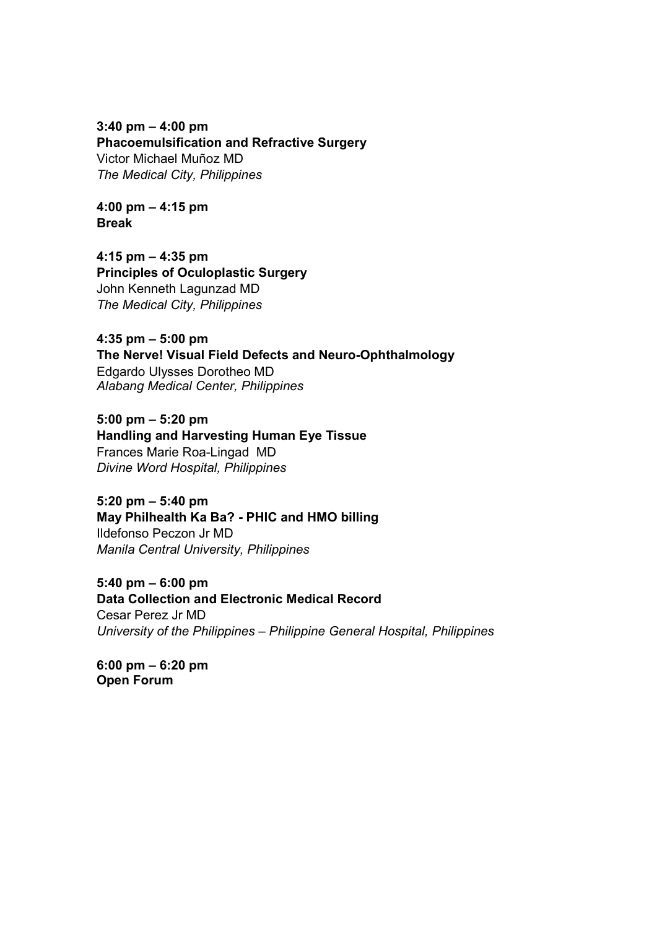**3:40 pm – 4:00 pm Phacoemulsification and Refractive Surgery**  Victor Michael Muñoz MD *The Medical City, Philippines* 

**4:00 pm – 4:15 pm Break** 

**4:15 pm – 4:35 pm Principles of Oculoplastic Surgery**  John Kenneth Lagunzad MD *The Medical City, Philippines* 

**4:35 pm – 5:00 pm The Nerve! Visual Field Defects and Neuro-Ophthalmology** Edgardo Ulysses Dorotheo MD *Alabang Medical Center, Philippines* 

**5:00 pm – 5:20 pm Handling and Harvesting Human Eye Tissue**  Frances Marie Roa-Lingad MD *Divine Word Hospital, Philippines* 

**5:20 pm – 5:40 pm May Philhealth Ka Ba? - PHIC and HMO billing** Ildefonso Peczon Jr MD *Manila Central University, Philippines* 

**5:40 pm – 6:00 pm Data Collection and Electronic Medical Record**  Cesar Perez Jr MD *University of the Philippines – Philippine General Hospital, Philippines* 

**6:00 pm – 6:20 pm Open Forum**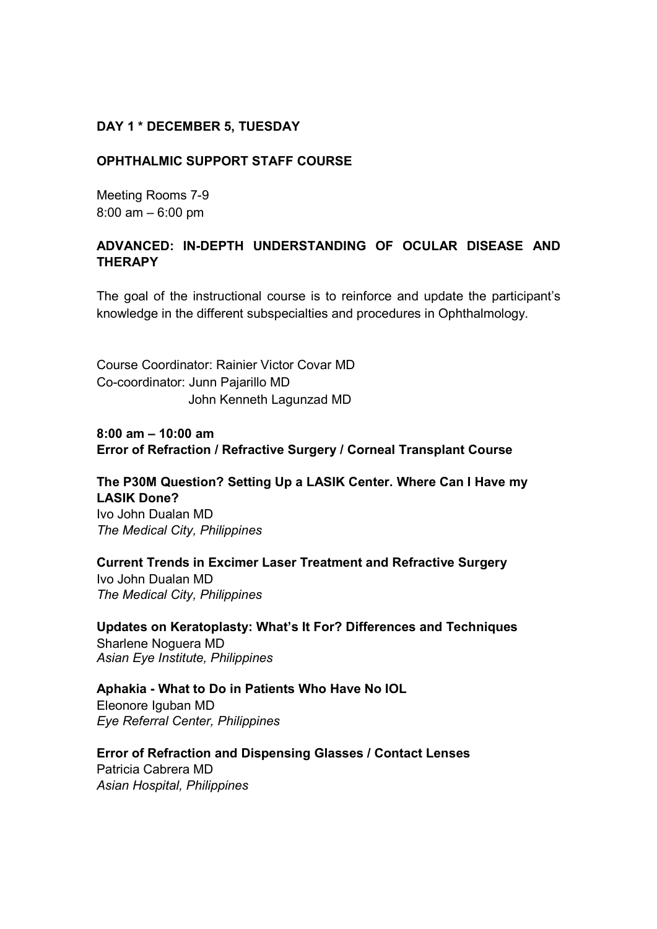#### **DAY 1 \* DECEMBER 5, TUESDAY**

#### **OPHTHALMIC SUPPORT STAFF COURSE**

Meeting Rooms 7-9 8:00 am – 6:00 pm

#### **ADVANCED: IN-DEPTH UNDERSTANDING OF OCULAR DISEASE AND THERAPY**

The goal of the instructional course is to reinforce and update the participant's knowledge in the different subspecialties and procedures in Ophthalmology.

Course Coordinator: Rainier Victor Covar MD Co-coordinator: Junn Pajarillo MD John Kenneth Lagunzad MD

**8:00 am – 10:00 am Error of Refraction / Refractive Surgery / Corneal Transplant Course** 

**The P30M Question? Setting Up a LASIK Center. Where Can I Have my LASIK Done?**  Ivo John Dualan MD *The Medical City, Philippines* 

**Current Trends in Excimer Laser Treatment and Refractive Surgery**  Ivo John Dualan MD *The Medical City, Philippines* 

**Updates on Keratoplasty: What's It For? Differences and Techniques**  Sharlene Noguera MD *Asian Eye Institute, Philippines* 

**Aphakia - What to Do in Patients Who Have No IOL**  Eleonore Iguban MD *Eye Referral Center, Philippines* 

**Error of Refraction and Dispensing Glasses / Contact Lenses**  Patricia Cabrera MD *Asian Hospital, Philippines*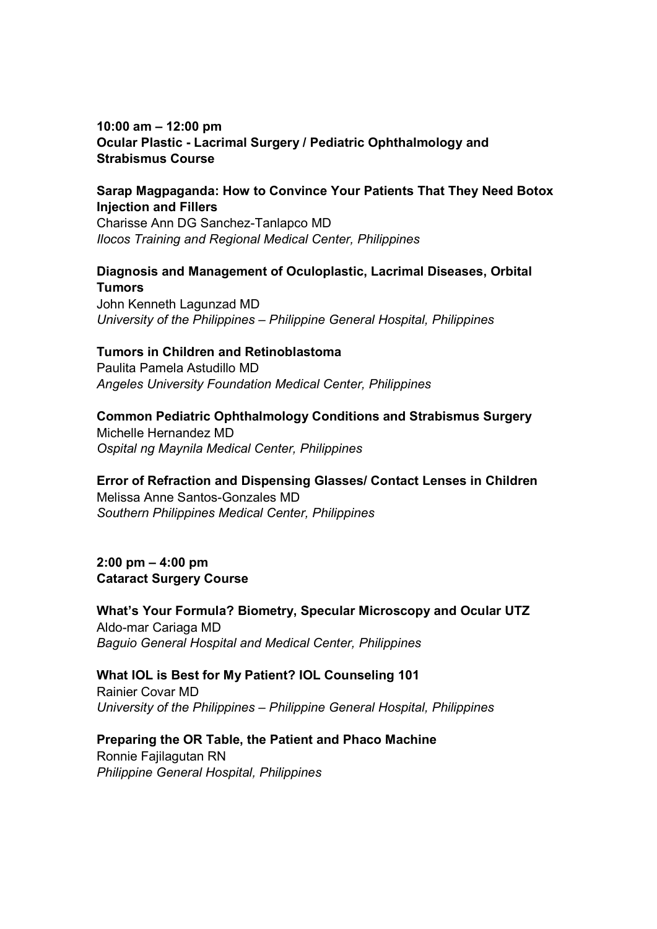### **10:00 am – 12:00 pm Ocular Plastic - Lacrimal Surgery / Pediatric Ophthalmology and Strabismus Course**

## **Sarap Magpaganda: How to Convince Your Patients That They Need Botox Injection and Fillers**

Charisse Ann DG Sanchez-Tanlapco MD *Ilocos Training and Regional Medical Center, Philippines* 

# **Diagnosis and Management of Oculoplastic, Lacrimal Diseases, Orbital Tumors**

John Kenneth Lagunzad MD *University of the Philippines – Philippine General Hospital, Philippines*

## **Tumors in Children and Retinoblastoma**

Paulita Pamela Astudillo MD *Angeles University Foundation Medical Center, Philippines* 

## **Common Pediatric Ophthalmology Conditions and Strabismus Surgery**

Michelle Hernandez MD *Ospital ng Maynila Medical Center, Philippines*

## **Error of Refraction and Dispensing Glasses/ Contact Lenses in Children**

Melissa Anne Santos-Gonzales MD *Southern Philippines Medical Center, Philippines* 

**2:00 pm – 4:00 pm Cataract Surgery Course** 

**What's Your Formula? Biometry, Specular Microscopy and Ocular UTZ**  Aldo-mar Cariaga MD *Baguio General Hospital and Medical Center, Philippines* 

### **What IOL is Best for My Patient? IOL Counseling 101**

Rainier Covar MD *University of the Philippines – Philippine General Hospital, Philippines*

### **Preparing the OR Table, the Patient and Phaco Machine**

Ronnie Fajilagutan RN *Philippine General Hospital, Philippines*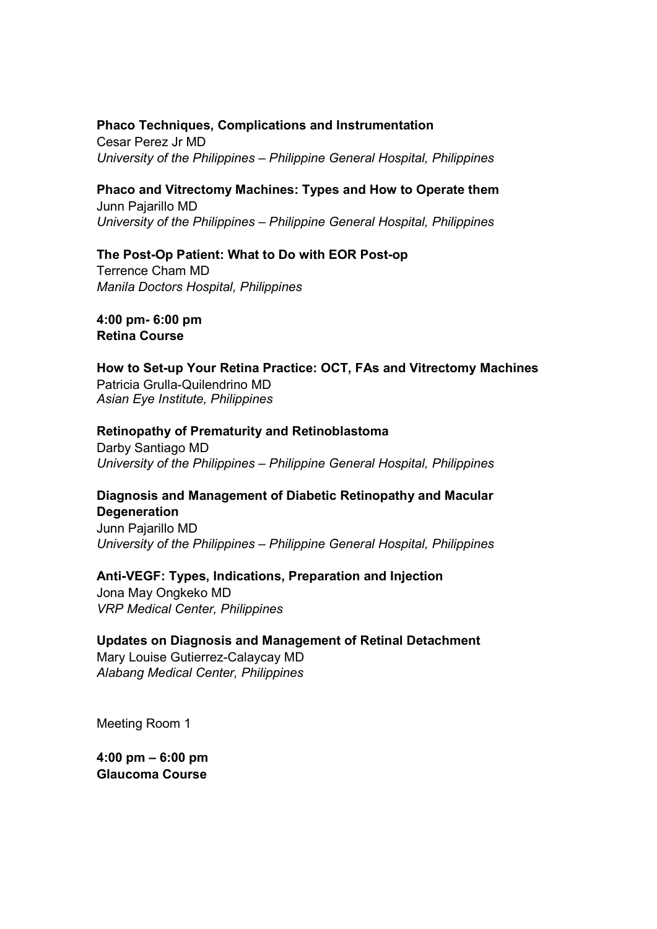#### **Phaco Techniques, Complications and Instrumentation**

Cesar Perez Jr MD *University of the Philippines – Philippine General Hospital, Philippines* 

# **Phaco and Vitrectomy Machines: Types and How to Operate them**

Junn Pajarillo MD *University of the Philippines – Philippine General Hospital, Philippines*

### **The Post-Op Patient: What to Do with EOR Post-op**

Terrence Cham MD *Manila Doctors Hospital, Philippines* 

**4:00 pm- 6:00 pm Retina Course** 

## **How to Set-up Your Retina Practice: OCT, FAs and Vitrectomy Machines**  Patricia Grulla-Quilendrino MD

*Asian Eye Institute, Philippines*

#### **Retinopathy of Prematurity and Retinoblastoma**

Darby Santiago MD *University of the Philippines – Philippine General Hospital, Philippines* 

### **Diagnosis and Management of Diabetic Retinopathy and Macular Degeneration**

Junn Pajarillo MD *University of the Philippines – Philippine General Hospital, Philippines*

### **Anti-VEGF: Types, Indications, Preparation and Injection**

Jona May Ongkeko MD *VRP Medical Center, Philippines* 

### **Updates on Diagnosis and Management of Retinal Detachment**

Mary Louise Gutierrez-Calaycay MD *Alabang Medical Center, Philippines* 

Meeting Room 1

**4:00 pm – 6:00 pm Glaucoma Course**